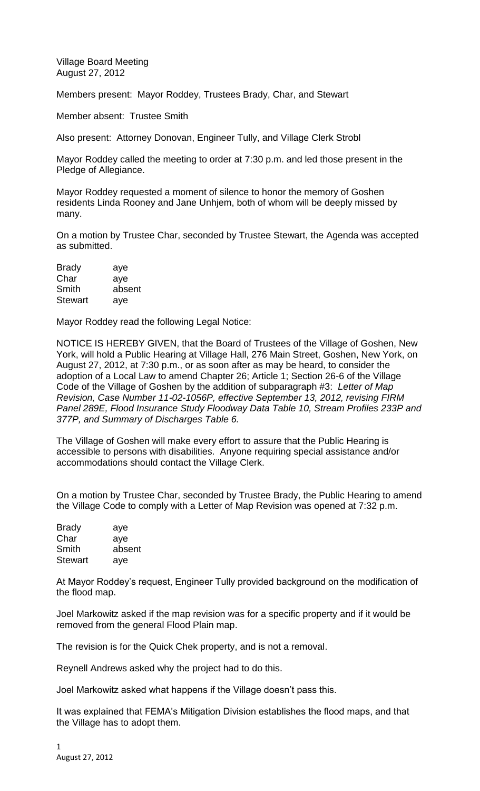Village Board Meeting August 27, 2012

Members present: Mayor Roddey, Trustees Brady, Char, and Stewart

Member absent: Trustee Smith

Also present: Attorney Donovan, Engineer Tully, and Village Clerk Strobl

Mayor Roddey called the meeting to order at 7:30 p.m. and led those present in the Pledge of Allegiance.

Mayor Roddey requested a moment of silence to honor the memory of Goshen residents Linda Rooney and Jane Unhjem, both of whom will be deeply missed by many.

On a motion by Trustee Char, seconded by Trustee Stewart, the Agenda was accepted as submitted.

| <b>Brady</b>   | aye    |
|----------------|--------|
| Char           | aye    |
| Smith          | absent |
| <b>Stewart</b> | aye    |

Mayor Roddey read the following Legal Notice:

NOTICE IS HEREBY GIVEN, that the Board of Trustees of the Village of Goshen, New York, will hold a Public Hearing at Village Hall, 276 Main Street, Goshen, New York, on August 27, 2012, at 7:30 p.m., or as soon after as may be heard, to consider the adoption of a Local Law to amend Chapter 26; Article 1; Section 26-6 of the Village Code of the Village of Goshen by the addition of subparagraph #3: *Letter of Map Revision, Case Number 11-02-1056P, effective September 13, 2012, revising FIRM Panel 289E, Flood Insurance Study Floodway Data Table 10, Stream Profiles 233P and 377P, and Summary of Discharges Table 6.*

The Village of Goshen will make every effort to assure that the Public Hearing is accessible to persons with disabilities. Anyone requiring special assistance and/or accommodations should contact the Village Clerk.

On a motion by Trustee Char, seconded by Trustee Brady, the Public Hearing to amend the Village Code to comply with a Letter of Map Revision was opened at 7:32 p.m.

| <b>Brady</b>   | aye    |
|----------------|--------|
| Char           | aye    |
| Smith          | absent |
| <b>Stewart</b> | aye    |

At Mayor Roddey's request, Engineer Tully provided background on the modification of the flood map.

Joel Markowitz asked if the map revision was for a specific property and if it would be removed from the general Flood Plain map.

The revision is for the Quick Chek property, and is not a removal.

Reynell Andrews asked why the project had to do this.

Joel Markowitz asked what happens if the Village doesn't pass this.

It was explained that FEMA's Mitigation Division establishes the flood maps, and that the Village has to adopt them.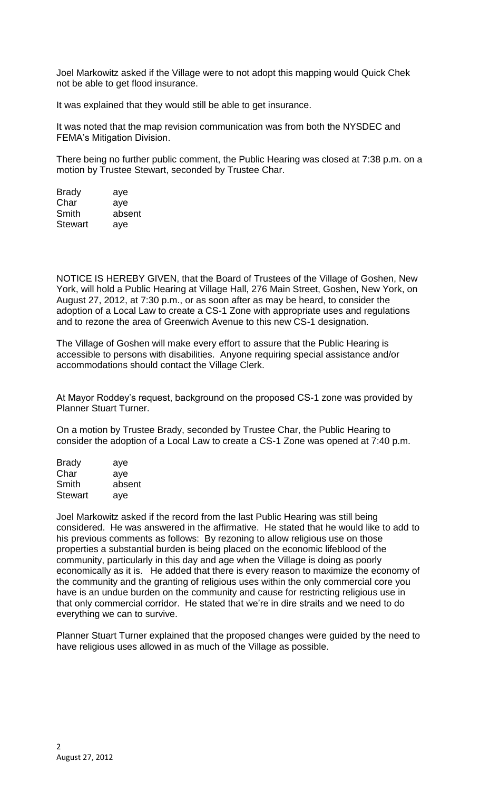Joel Markowitz asked if the Village were to not adopt this mapping would Quick Chek not be able to get flood insurance.

It was explained that they would still be able to get insurance.

It was noted that the map revision communication was from both the NYSDEC and FEMA's Mitigation Division.

There being no further public comment, the Public Hearing was closed at 7:38 p.m. on a motion by Trustee Stewart, seconded by Trustee Char.

| aye    |
|--------|
| aye    |
| absent |
| aye    |
|        |

NOTICE IS HEREBY GIVEN, that the Board of Trustees of the Village of Goshen, New York, will hold a Public Hearing at Village Hall, 276 Main Street, Goshen, New York, on August 27, 2012, at 7:30 p.m., or as soon after as may be heard, to consider the adoption of a Local Law to create a CS-1 Zone with appropriate uses and regulations and to rezone the area of Greenwich Avenue to this new CS-1 designation.

The Village of Goshen will make every effort to assure that the Public Hearing is accessible to persons with disabilities. Anyone requiring special assistance and/or accommodations should contact the Village Clerk.

At Mayor Roddey's request, background on the proposed CS-1 zone was provided by Planner Stuart Turner.

On a motion by Trustee Brady, seconded by Trustee Char, the Public Hearing to consider the adoption of a Local Law to create a CS-1 Zone was opened at 7:40 p.m.

| <b>Brady</b>   | aye    |
|----------------|--------|
| Char           | aye    |
| Smith          | absent |
| <b>Stewart</b> | aye    |

Joel Markowitz asked if the record from the last Public Hearing was still being considered. He was answered in the affirmative. He stated that he would like to add to his previous comments as follows: By rezoning to allow religious use on those properties a substantial burden is being placed on the economic lifeblood of the community, particularly in this day and age when the Village is doing as poorly economically as it is. He added that there is every reason to maximize the economy of the community and the granting of religious uses within the only commercial core you have is an undue burden on the community and cause for restricting religious use in that only commercial corridor. He stated that we're in dire straits and we need to do everything we can to survive.

Planner Stuart Turner explained that the proposed changes were guided by the need to have religious uses allowed in as much of the Village as possible.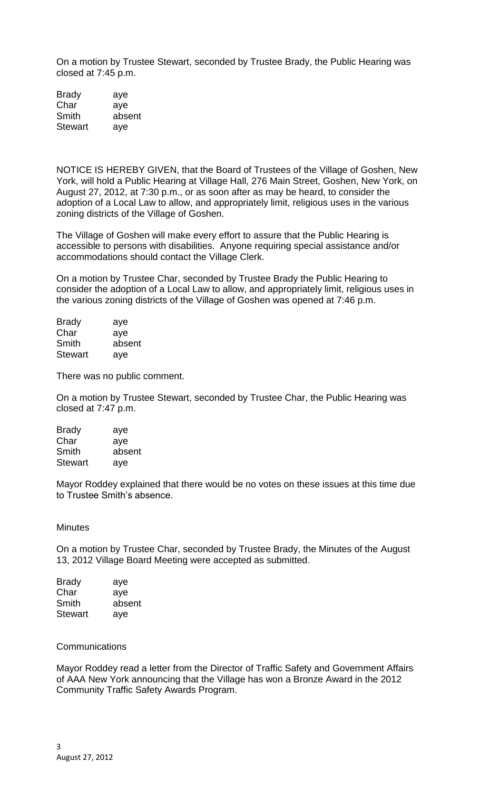On a motion by Trustee Stewart, seconded by Trustee Brady, the Public Hearing was closed at 7:45 p.m.

| <b>Brady</b>   | aye    |
|----------------|--------|
| Char           | aye    |
| Smith          | absent |
| <b>Stewart</b> | aye    |

NOTICE IS HEREBY GIVEN, that the Board of Trustees of the Village of Goshen, New York, will hold a Public Hearing at Village Hall, 276 Main Street, Goshen, New York, on August 27, 2012, at 7:30 p.m., or as soon after as may be heard, to consider the adoption of a Local Law to allow, and appropriately limit, religious uses in the various zoning districts of the Village of Goshen.

The Village of Goshen will make every effort to assure that the Public Hearing is accessible to persons with disabilities. Anyone requiring special assistance and/or accommodations should contact the Village Clerk.

On a motion by Trustee Char, seconded by Trustee Brady the Public Hearing to consider the adoption of a Local Law to allow, and appropriately limit, religious uses in the various zoning districts of the Village of Goshen was opened at 7:46 p.m.

| <b>Brady</b>   | aye    |
|----------------|--------|
| Char           | aye    |
| Smith          | absent |
| <b>Stewart</b> | aye    |

There was no public comment.

On a motion by Trustee Stewart, seconded by Trustee Char, the Public Hearing was closed at 7:47 p.m.

| <b>Brady</b>   | aye    |
|----------------|--------|
| Char           | aye    |
| Smith          | absent |
| <b>Stewart</b> | aye    |

Mayor Roddey explained that there would be no votes on these issues at this time due to Trustee Smith's absence.

**Minutes** 

On a motion by Trustee Char, seconded by Trustee Brady, the Minutes of the August 13, 2012 Village Board Meeting were accepted as submitted.

| <b>Brady</b> | aye    |
|--------------|--------|
| Char         | aye    |
| Smith        | absent |
| Stewart      | aye    |

## **Communications**

Mayor Roddey read a letter from the Director of Traffic Safety and Government Affairs of AAA New York announcing that the Village has won a Bronze Award in the 2012 Community Traffic Safety Awards Program.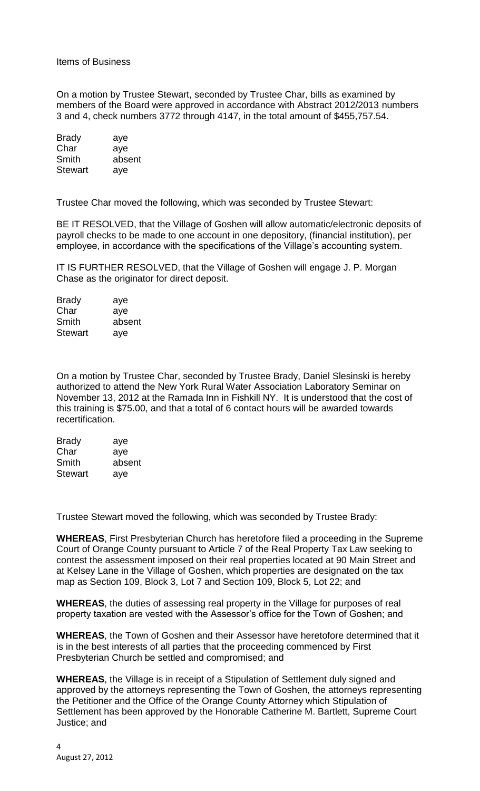Items of Business

On a motion by Trustee Stewart, seconded by Trustee Char, bills as examined by members of the Board were approved in accordance with Abstract 2012/2013 numbers 3 and 4, check numbers 3772 through 4147, in the total amount of \$455,757.54.

| <b>Brady</b> | aye    |
|--------------|--------|
| Char         | aye    |
| Smith        | absent |
| Stewart      | aye    |

Trustee Char moved the following, which was seconded by Trustee Stewart:

BE IT RESOLVED, that the Village of Goshen will allow automatic/electronic deposits of payroll checks to be made to one account in one depository, (financial institution), per employee, in accordance with the specifications of the Village's accounting system.

IT IS FURTHER RESOLVED, that the Village of Goshen will engage J. P. Morgan Chase as the originator for direct deposit.

| <b>Brady</b>   | aye    |
|----------------|--------|
| Char           | aye    |
| Smith          | absent |
| <b>Stewart</b> | aye    |

On a motion by Trustee Char, seconded by Trustee Brady, Daniel Slesinski is hereby authorized to attend the New York Rural Water Association Laboratory Seminar on November 13, 2012 at the Ramada Inn in Fishkill NY. It is understood that the cost of this training is \$75.00, and that a total of 6 contact hours will be awarded towards recertification.

| <b>Brady</b>   | aye    |
|----------------|--------|
| Char           | aye    |
| Smith          | absent |
| <b>Stewart</b> | aye    |

Trustee Stewart moved the following, which was seconded by Trustee Brady:

**WHEREAS**, First Presbyterian Church has heretofore filed a proceeding in the Supreme Court of Orange County pursuant to Article 7 of the Real Property Tax Law seeking to contest the assessment imposed on their real properties located at 90 Main Street and at Kelsey Lane in the Village of Goshen, which properties are designated on the tax map as Section 109, Block 3, Lot 7 and Section 109, Block 5, Lot 22; and

**WHEREAS**, the duties of assessing real property in the Village for purposes of real property taxation are vested with the Assessor's office for the Town of Goshen; and

**WHEREAS**, the Town of Goshen and their Assessor have heretofore determined that it is in the best interests of all parties that the proceeding commenced by First Presbyterian Church be settled and compromised; and

**WHEREAS**, the Village is in receipt of a Stipulation of Settlement duly signed and approved by the attorneys representing the Town of Goshen, the attorneys representing the Petitioner and the Office of the Orange County Attorney which Stipulation of Settlement has been approved by the Honorable Catherine M. Bartlett, Supreme Court Justice; and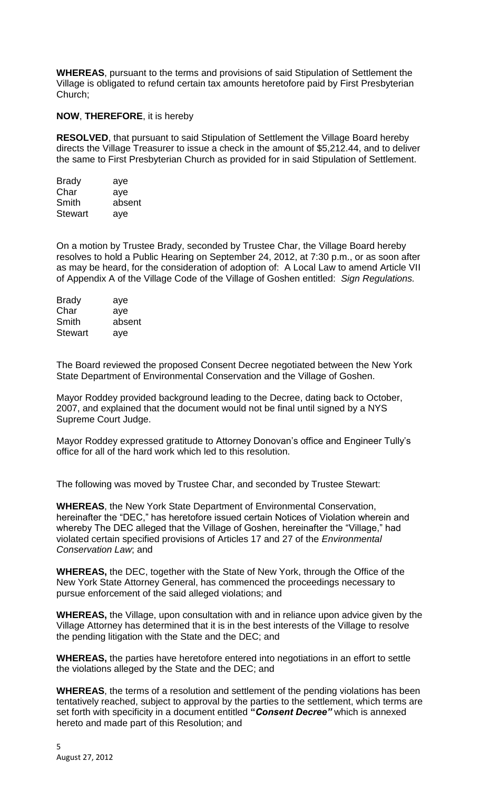**WHEREAS**, pursuant to the terms and provisions of said Stipulation of Settlement the Village is obligated to refund certain tax amounts heretofore paid by First Presbyterian Church;

## **NOW**, **THEREFORE**, it is hereby

**RESOLVED**, that pursuant to said Stipulation of Settlement the Village Board hereby directs the Village Treasurer to issue a check in the amount of \$5,212.44, and to deliver the same to First Presbyterian Church as provided for in said Stipulation of Settlement.

| <b>Brady</b>   | aye    |
|----------------|--------|
| Char           | aye    |
| Smith          | absent |
| <b>Stewart</b> | aye    |

On a motion by Trustee Brady, seconded by Trustee Char, the Village Board hereby resolves to hold a Public Hearing on September 24, 2012, at 7:30 p.m., or as soon after as may be heard, for the consideration of adoption of: A Local Law to amend Article VII of Appendix A of the Village Code of the Village of Goshen entitled: *Sign Regulations.*

| <b>Brady</b> | aye    |
|--------------|--------|
| Char         | aye    |
| Smith        | absent |
| Stewart      | aye    |

The Board reviewed the proposed Consent Decree negotiated between the New York State Department of Environmental Conservation and the Village of Goshen.

Mayor Roddey provided background leading to the Decree, dating back to October, 2007, and explained that the document would not be final until signed by a NYS Supreme Court Judge.

Mayor Roddey expressed gratitude to Attorney Donovan's office and Engineer Tully's office for all of the hard work which led to this resolution.

The following was moved by Trustee Char, and seconded by Trustee Stewart:

**WHEREAS**, the New York State Department of Environmental Conservation, hereinafter the "DEC," has heretofore issued certain Notices of Violation wherein and whereby The DEC alleged that the Village of Goshen, hereinafter the "Village," had violated certain specified provisions of Articles 17 and 27 of the *Environmental Conservation Law*; and

**WHEREAS,** the DEC, together with the State of New York, through the Office of the New York State Attorney General, has commenced the proceedings necessary to pursue enforcement of the said alleged violations; and

**WHEREAS,** the Village, upon consultation with and in reliance upon advice given by the Village Attorney has determined that it is in the best interests of the Village to resolve the pending litigation with the State and the DEC; and

**WHEREAS,** the parties have heretofore entered into negotiations in an effort to settle the violations alleged by the State and the DEC; and

**WHEREAS**, the terms of a resolution and settlement of the pending violations has been tentatively reached, subject to approval by the parties to the settlement, which terms are set forth with specificity in a document entitled **"***Consent Decree"* which is annexed hereto and made part of this Resolution; and